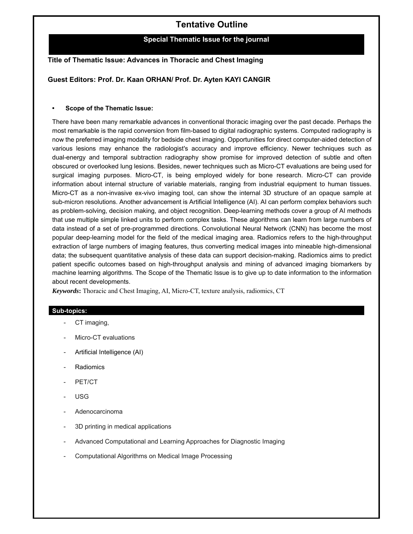# **Tentative Outline**

### **Special Thematic Issue for the journal**

## **Title of Thematic Issue: Advances in Thoracic and Chest Imaging**

## **Guest Editors: Prof. Dr. Kaan ORHAN/ Prof. Dr. Ayten KAYI CANGIR**

#### **• Scope of the Thematic Issue:**

There have been many remarkable advances in conventional thoracic imaging over the past decade. Perhaps the most remarkable is the rapid conversion from film-based to digital radiographic systems. Computed radiography is now the preferred imaging modality for bedside chest imaging. Opportunities for direct computer-aided detection of various lesions may enhance the radiologist's accuracy and improve efficiency. Newer techniques such as dual-energy and temporal subtraction radiography show promise for improved detection of subtle and often obscured or overlooked lung lesions. Besides, newer techniques such as Micro-CT evaluations are being used for surgical imaging purposes. Micro-CT, is being employed widely for bone research. Micro-CT can provide information about internal structure of variable materials, ranging from industrial equipment to human tissues. Micro-CT as a non-invasive ex-vivo imaging tool, can show the internal 3D structure of an opaque sample at sub-micron resolutions. Another advancement is Artificial Intelligence (AI). AI can perform complex behaviors such as problem-solving, decision making, and object recognition. Deep-learning methods cover a group of AI methods that use multiple simple linked units to perform complex tasks. These algorithms can learn from large numbers of data instead of a set of pre-programmed directions. Convolutional Neural Network (CNN) has become the most popular deep-learning model for the field of the medical imaging area. Radiomics refers to the high-throughput extraction of large numbers of imaging features, thus converting medical images into mineable high-dimensional data; the subsequent quantitative analysis of these data can support decision-making. Radiomics aims to predict patient specific outcomes based on high-throughput analysis and mining of advanced imaging biomarkers by machine learning algorithms. The Scope of the Thematic Issue is to give up to date information to the information about recent developments.

*Keywords***:** Thoracic and Chest Imaging, AI, Micro-CT, texture analysis, radiomics, CT

#### **Sub-topics:**

- CT imaging,
- Micro-CT evaluations
- Artificial Intelligence (AI)
- Radiomics
- PET/CT
- USG
- Adenocarcinoma
- 3D printing in medical applications
- Advanced Computational and Learning Approaches for Diagnostic Imaging
- Computational Algorithms on Medical Image Processing